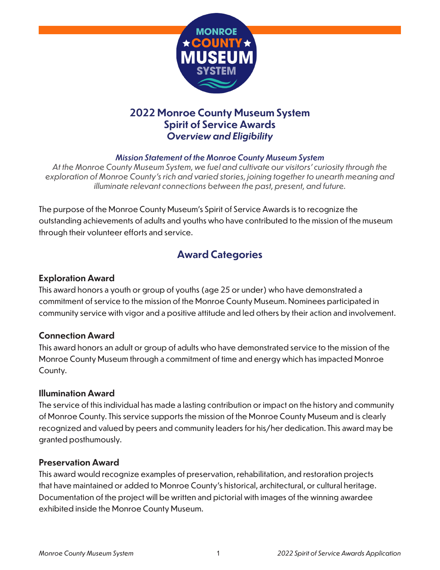

### **2022 Monroe County Museum System Spirit of Service Awards** *Overview and Eligibility*

#### *Mission Statement of the Monroe County Museum System*

*At the Monroe County Museum System, we fuel and cultivate our visitors' curiosity through the exploration of Monroe County's rich and varied stories, joining together to unearth meaning and illuminate relevant connections between the past, present, and future.* 

The purpose of the Monroe County Museum's Spirit of Service Awards is to recognize the outstanding achievements of adults and youths who have contributed to the mission of the museum through their volunteer efforts and service.

## **Award Categories**

#### **Exploration Award**

This award honors a youth or group of youths (age 25 or under) who have demonstrated a commitment of service to the mission of the Monroe County Museum. Nominees participated in community service with vigor and a positive attitude and led others by their action and involvement.

#### **Connection Award**

This award honors an adult or group of adults who have demonstrated service to the mission of the Monroe County Museum through a commitment of time and energy which has impacted Monroe County.

#### **Illumination Award**

The service of this individual has made a lasting contribution or impact on the history and community of Monroe County. This service supports the mission of the Monroe County Museum and is clearly recognized and valued by peers and community leaders for his/her dedication. This award may be granted posthumously.

#### **Preservation Award**

This award would recognize examples of preservation, rehabilitation, and restoration projects that have maintained or added to Monroe County's historical, architectural, or cultural heritage. Documentation of the project will be written and pictorial with images of the winning awardee exhibited inside the Monroe County Museum.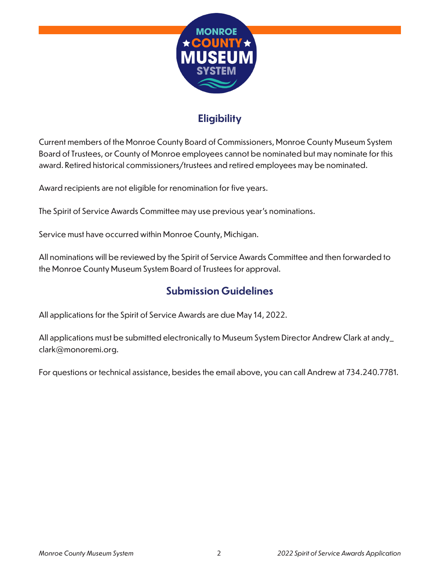

# **Eligibility**

Current members of the Monroe County Board of Commissioners, Monroe County Museum System Board of Trustees, or County of Monroe employees cannot be nominated but may nominate for this award. Retired historical commissioners/trustees and retired employees may be nominated.

Award recipients are not eligible for renomination for five years.

The Spirit of Service Awards Committee may use previous year's nominations.

Service must have occurred within Monroe County, Michigan.

All nominations will be reviewed by the Spirit of Service Awards Committee and then forwarded to the Monroe County Museum System Board of Trustees for approval.

### **Submission Guidelines**

All applications for the Spirit of Service Awards are due May 14, 2022.

All applications must be submitted electronically to Museum System Director Andrew Clark at andy\_ clark@monoremi.org.

For questions or technical assistance, besides the email above, you can call Andrew at 734.240.7781.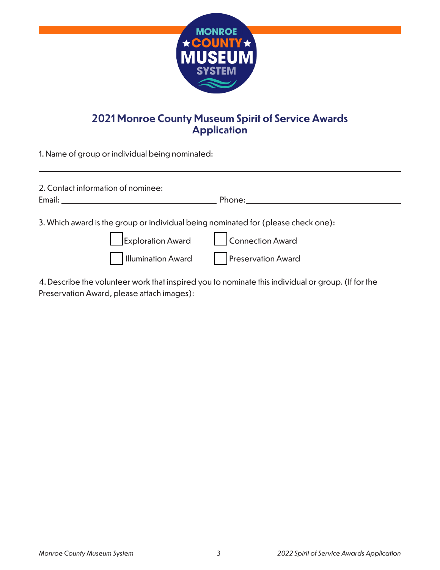

## **2021 Monroe County Museum Spirit of Service Awards Application**

1. Name of group or individual being nominated:

| 2. Contact information of nominee:<br>Email: Email: Email: Email: Email: Email: Email: Email: Email: Email: Email: Email: Email: Email: Email: Email: Email: Email: Email: Email: Email: Email: Email: Email: Email: Email: Email: Email: Email: Email: Email: Email | Phone: <b>Example 2018</b>                                                                                                                                                                                                     |
|----------------------------------------------------------------------------------------------------------------------------------------------------------------------------------------------------------------------------------------------------------------------|--------------------------------------------------------------------------------------------------------------------------------------------------------------------------------------------------------------------------------|
|                                                                                                                                                                                                                                                                      | 3. Which award is the group or individual being nominated for (please check one):                                                                                                                                              |
|                                                                                                                                                                                                                                                                      | Exploration Award Connection Award                                                                                                                                                                                             |
|                                                                                                                                                                                                                                                                      | Illumination Award   Preservation Award                                                                                                                                                                                        |
|                                                                                                                                                                                                                                                                      | And the later through the second and the control of the second second and the second and the second and the second second and the second and the second and the second second and the second second and the second and the sec |

4. Describe the volunteer work that inspired you to nominate this individual or group. (If for the Preservation Award, please attach images):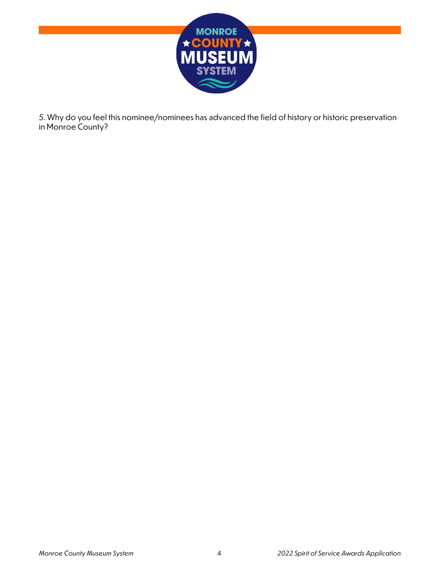

5. Why do you feel this nominee/nominees has advanced the field of history or historic preservation in Monroe County?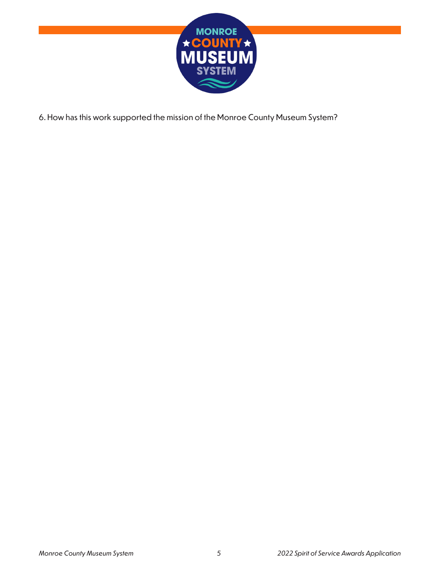

6. How has this work supported the mission of the Monroe County Museum System?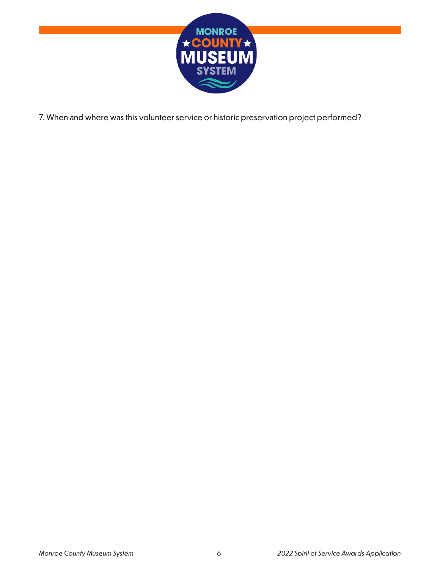

7. When and where was this volunteer service or historic preservation project performed?